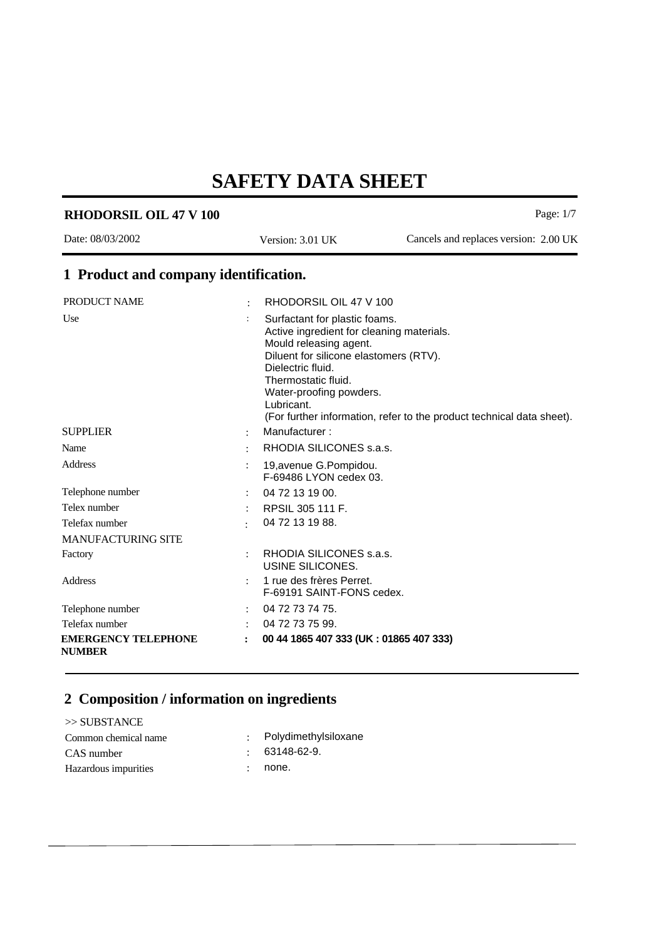Page: 1/7

# **RHODORSIL OIL 47 V 100 1 Product and company identification.** PRODUCT NAME : RHODORSIL OIL 47 V 100 Date: 08/03/2002 Version: 3.01 UK Cancels and replaces version: 2.00 UK

| Use                                         |                      | Surfactant for plastic foams.                                         |
|---------------------------------------------|----------------------|-----------------------------------------------------------------------|
|                                             |                      | Active ingredient for cleaning materials.                             |
|                                             |                      | Mould releasing agent.                                                |
|                                             |                      | Diluent for silicone elastomers (RTV).<br>Dielectric fluid.           |
|                                             |                      | Thermostatic fluid.                                                   |
|                                             |                      | Water-proofing powders.                                               |
|                                             |                      | Lubricant.                                                            |
|                                             |                      | (For further information, refer to the product technical data sheet). |
| <b>SUPPLIER</b>                             | $\ddot{\phantom{0}}$ | Manufacturer:                                                         |
| Name                                        | ÷                    | RHODIA SILICONES s.a.s.                                               |
| Address                                     |                      | 19, avenue G. Pompidou.                                               |
|                                             |                      | F-69486 LYON cedex 03.                                                |
| Telephone number                            |                      | 04 72 13 19 00.                                                       |
| Telex number                                |                      | RPSIL 305 111 F.                                                      |
| Telefax number                              |                      | 04 72 13 19 88.                                                       |
| <b>MANUFACTURING SITE</b>                   |                      |                                                                       |
| Factory                                     |                      | RHODIA SILICONES s.a.s.<br>USINE SILICONES.                           |
| Address                                     |                      | 1 rue des frères Perret.<br>F-69191 SAINT-FONS cedex.                 |
| Telephone number                            |                      | 04 72 73 74 75.                                                       |
| Telefax number                              |                      | 04 72 73 75 99.                                                       |
| <b>EMERGENCY TELEPHONE</b><br><b>NUMBER</b> | $\ddot{\phantom{a}}$ | 00 44 1865 407 333 (UK: 01865 407 333)                                |

#### **2 Composition / information on ingredients**

>> SUBSTANCE Common chemical name : Polydimethylsiloxane CAS number : 63148-62-9. Hazardous impurities : none.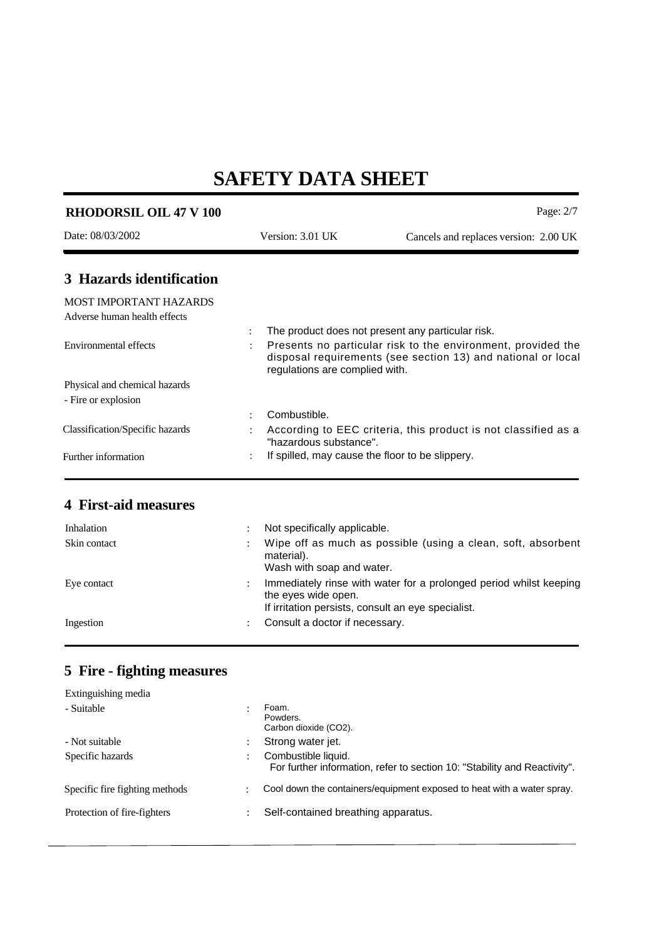| <b>RHODORSIL OIL 47 V 100</b>                          |                                                 | Page: $2/7$                                                                                                                                                                       |
|--------------------------------------------------------|-------------------------------------------------|-----------------------------------------------------------------------------------------------------------------------------------------------------------------------------------|
| Date: 08/03/2002                                       | Version: 3.01 UK                                | Cancels and replaces version: 2.00 UK                                                                                                                                             |
| 3 Hazards identification                               |                                                 |                                                                                                                                                                                   |
| MOST IMPORTANT HAZARDS<br>Adverse human health effects |                                                 |                                                                                                                                                                                   |
| Environmental effects                                  | regulations are complied with.                  | The product does not present any particular risk.<br>Presents no particular risk to the environment, provided the<br>disposal requirements (see section 13) and national or local |
| Physical and chemical hazards                          |                                                 |                                                                                                                                                                                   |
| - Fire or explosion                                    |                                                 |                                                                                                                                                                                   |
|                                                        | Combustible.                                    |                                                                                                                                                                                   |
| Classification/Specific hazards                        | "hazardous substance".                          | According to EEC criteria, this product is not classified as a                                                                                                                    |
| Further information                                    | If spilled, may cause the floor to be slippery. |                                                                                                                                                                                   |

#### **4 First-aid measures**

| Inhalation   | Not specifically applicable.                                                                                                                    |
|--------------|-------------------------------------------------------------------------------------------------------------------------------------------------|
| Skin contact | Wipe off as much as possible (using a clean, soft, absorbent<br>material).<br>Wash with soap and water.                                         |
| Eye contact  | Immediately rinse with water for a prolonged period whilst keeping<br>the eyes wide open.<br>If irritation persists, consult an eye specialist. |
| Ingestion    | Consult a doctor if necessary.                                                                                                                  |

### **5 Fire - fighting measures**

| Extinguishing media            |                                                                                                  |
|--------------------------------|--------------------------------------------------------------------------------------------------|
| - Suitable                     | Foam.<br>Powders.<br>Carbon dioxide (CO2).                                                       |
| - Not suitable                 | Strong water jet.                                                                                |
| Specific hazards               | Combustible liquid.<br>For further information, refer to section 10: "Stability and Reactivity". |
| Specific fire fighting methods | Cool down the containers/equipment exposed to heat with a water spray.                           |
| Protection of fire-fighters    | Self-contained breathing apparatus.                                                              |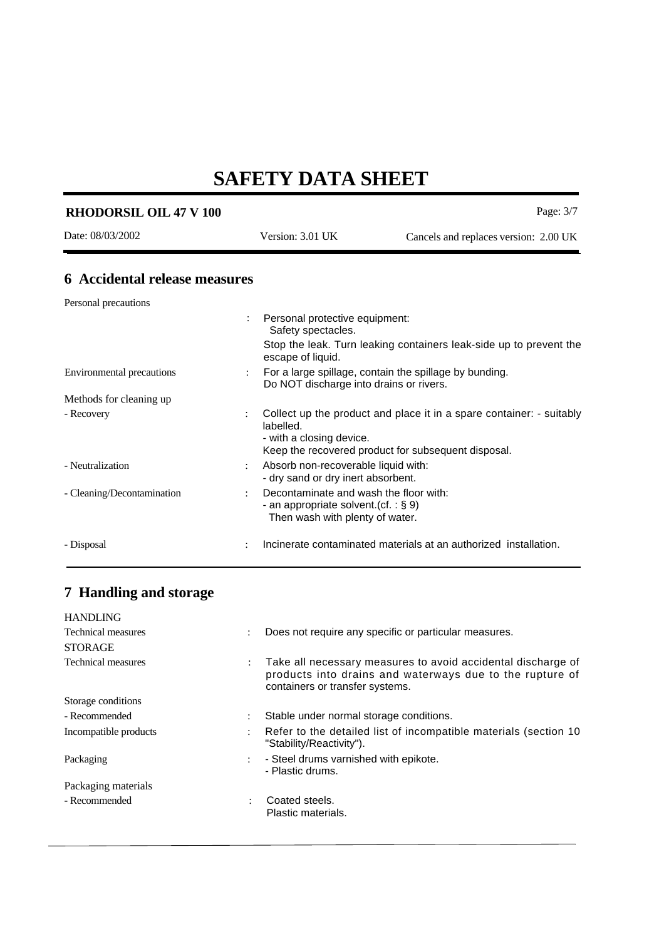| <b>RHODORSIL OIL 47 V 100</b>        |   |                                                                                                                       | Page: 3/7                                                                                                                   |
|--------------------------------------|---|-----------------------------------------------------------------------------------------------------------------------|-----------------------------------------------------------------------------------------------------------------------------|
| Date: 08/03/2002                     |   | Version: 3.01 UK                                                                                                      | Cancels and replaces version: 2.00 UK                                                                                       |
| <b>6</b> Accidental release measures |   |                                                                                                                       |                                                                                                                             |
| Personal precautions                 |   |                                                                                                                       |                                                                                                                             |
|                                      |   | Personal protective equipment:<br>Safety spectacles.                                                                  | Stop the leak. Turn leaking containers leak-side up to prevent the                                                          |
| <b>Environmental precautions</b>     |   | escape of liquid.<br>Do NOT discharge into drains or rivers.                                                          | For a large spillage, contain the spillage by bunding.                                                                      |
| Methods for cleaning up              |   |                                                                                                                       |                                                                                                                             |
| - Recovery                           | ÷ | labelled.<br>- with a closing device.                                                                                 | Collect up the product and place it in a spare container: - suitably<br>Keep the recovered product for subsequent disposal. |
| - Neutralization                     |   | Absorb non-recoverable liquid with:<br>- dry sand or dry inert absorbent.                                             |                                                                                                                             |
| - Cleaning/Decontamination           |   | Decontaminate and wash the floor with:<br>- an appropriate solvent. (cf. : $\S$ 9)<br>Then wash with plenty of water. |                                                                                                                             |
| - Disposal                           |   |                                                                                                                       | Incinerate contaminated materials at an authorized installation.                                                            |

#### **7 Handling and storage**

| Does not require any specific or particular measures.                                                                                                                               |
|-------------------------------------------------------------------------------------------------------------------------------------------------------------------------------------|
|                                                                                                                                                                                     |
| Take all necessary measures to avoid accidental discharge of<br>$\ddot{\phantom{0}}$<br>products into drains and waterways due to the rupture of<br>containers or transfer systems. |
|                                                                                                                                                                                     |
| Stable under normal storage conditions.                                                                                                                                             |
| Refer to the detailed list of incompatible materials (section 10)<br>"Stability/Reactivity").                                                                                       |
| - Steel drums varnished with epikote.<br>$\ddot{\phantom{a}}$<br>- Plastic drums.                                                                                                   |
|                                                                                                                                                                                     |
| Coated steels.<br>Plastic materials.                                                                                                                                                |
| $\ddot{\phantom{a}}$                                                                                                                                                                |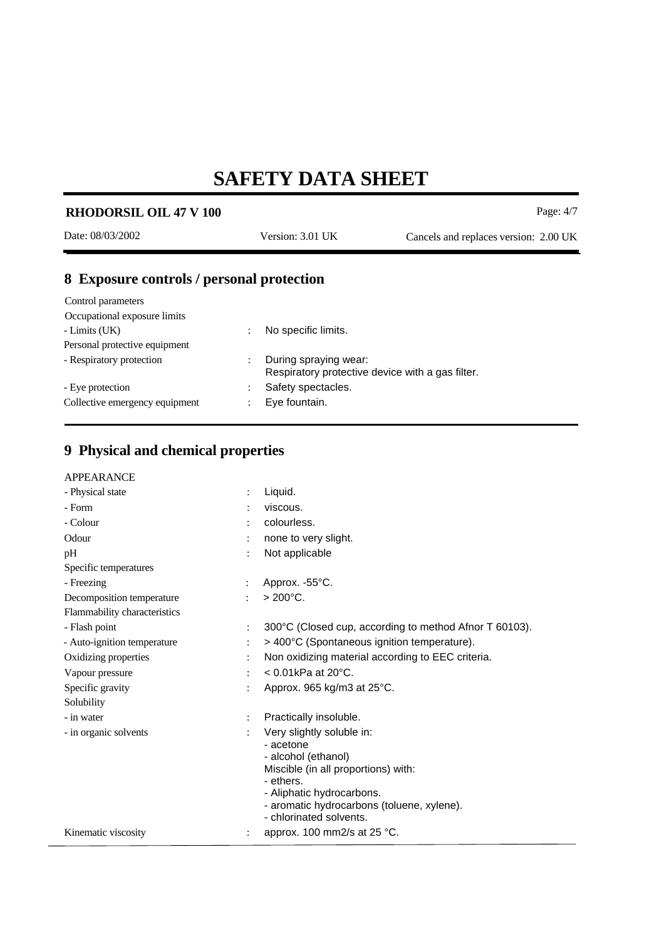| <b>RHODORSIL OIL 47 V 100</b>             |                                                                           | Page: $4/7$                           |
|-------------------------------------------|---------------------------------------------------------------------------|---------------------------------------|
| Date: 08/03/2002                          | Version: 3.01 UK                                                          | Cancels and replaces version: 2.00 UK |
| 8 Exposure controls / personal protection |                                                                           |                                       |
| Control parameters                        |                                                                           |                                       |
| Occupational exposure limits              |                                                                           |                                       |
| - Limits (UK)                             | No specific limits.                                                       |                                       |
| Personal protective equipment             |                                                                           |                                       |
| - Respiratory protection                  | During spraying wear:<br>Respiratory protective device with a gas filter. |                                       |
| - Eye protection                          | Safety spectacles.                                                        |                                       |

### **9 Physical and chemical properties**

Collective emergency equipment : Eye fountain.

| - Physical state             |                | Liquid.                                                |
|------------------------------|----------------|--------------------------------------------------------|
| - Form                       |                | viscous.                                               |
| - Colour                     |                | colourless.                                            |
| Odour                        |                | none to very slight.                                   |
| pH                           |                | Not applicable                                         |
| Specific temperatures        |                |                                                        |
| - Freezing                   |                | Approx. -55°C.                                         |
| Decomposition temperature    | ÷              | $> 200^{\circ}$ C.                                     |
| Flammability characteristics |                |                                                        |
| - Flash point                | $\ddot{\cdot}$ | 300°C (Closed cup, according to method Afnor T 60103). |
| - Auto-ignition temperature  | $\ddot{\cdot}$ | > 400°C (Spontaneous ignition temperature).            |
| Oxidizing properties         |                | Non oxidizing material according to EEC criteria.      |
| Vapour pressure              |                | $< 0.01$ kPa at 20 $^{\circ}$ C.                       |
| Specific gravity             |                | Approx. 965 kg/m3 at 25°C.                             |
| Solubility                   |                |                                                        |
| - in water                   | $\ddot{\cdot}$ | Practically insoluble.                                 |
| - in organic solvents        |                | Very slightly soluble in:                              |
|                              |                | - acetone                                              |
|                              |                | - alcohol (ethanol)                                    |
|                              |                | Miscible (in all proportions) with:<br>- ethers.       |
|                              |                | - Aliphatic hydrocarbons.                              |
|                              |                | - aromatic hydrocarbons (toluene, xylene).             |
|                              |                | - chlorinated solvents.                                |
| Kinematic viscosity          |                | approx. 100 mm2/s at 25 °C.                            |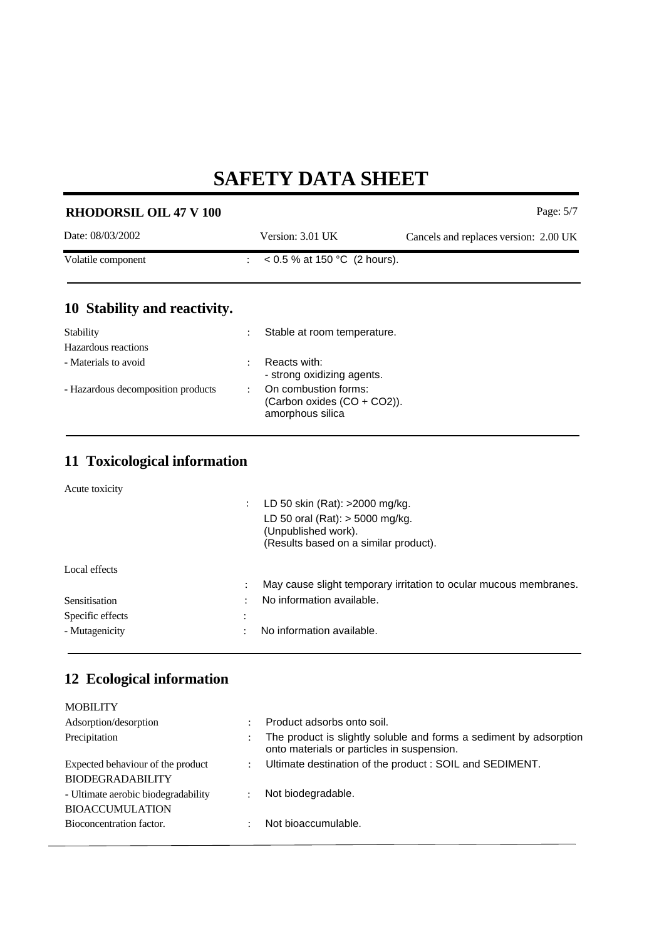| <b>RHODORSIL OIL 47 V 100</b>      |                |                                                                         | Page: 5/7                             |
|------------------------------------|----------------|-------------------------------------------------------------------------|---------------------------------------|
| Date: 08/03/2002                   |                | Version: 3.01 UK                                                        | Cancels and replaces version: 2.00 UK |
| Volatile component                 |                | : $< 0.5 %$ at 150 °C (2 hours).                                        |                                       |
| 10 Stability and reactivity.       |                |                                                                         |                                       |
| Stability<br>Hazardous reactions   |                | Stable at room temperature.                                             |                                       |
| - Materials to avoid               |                | Reacts with:<br>- strong oxidizing agents.                              |                                       |
| - Hazardous decomposition products | $\ddot{\cdot}$ | On combustion forms:<br>(Carbon oxides (CO + CO2)).<br>amorphous silica |                                       |

#### **11 Toxicological information**

Acute toxicity

| LD 50 oral (Rat): $>$ 5000 mg/kg.<br>(Unpublished work).<br>(Results based on a similar product). |  |
|---------------------------------------------------------------------------------------------------|--|
|                                                                                                   |  |
|                                                                                                   |  |
|                                                                                                   |  |
| May cause slight temporary irritation to ocular mucous membranes.<br>٠                            |  |
| No information available.<br>$\bullet$                                                            |  |
|                                                                                                   |  |
| No information available.<br>٠                                                                    |  |
|                                                                                                   |  |

#### **12 Ecological information**

| <b>MOBILITY</b>                     |                           |                                                                                                                  |
|-------------------------------------|---------------------------|------------------------------------------------------------------------------------------------------------------|
| Adsorption/desorption               |                           | Product adsorbs onto soil.                                                                                       |
| Precipitation                       |                           | The product is slightly soluble and forms a sediment by adsorption<br>onto materials or particles in suspension. |
| Expected behaviour of the product   | $\mathbb{R}^{\mathbb{Z}}$ | Ultimate destination of the product : SOIL and SEDIMENT.                                                         |
| <b>BIODEGRADABILITY</b>             |                           |                                                                                                                  |
| - Ultimate aerobic biodegradability |                           | Not biodegradable.                                                                                               |
| <b>BIOACCUMULATION</b>              |                           |                                                                                                                  |
| Bioconcentration factor.            |                           | Not bioaccumulable.                                                                                              |
|                                     |                           |                                                                                                                  |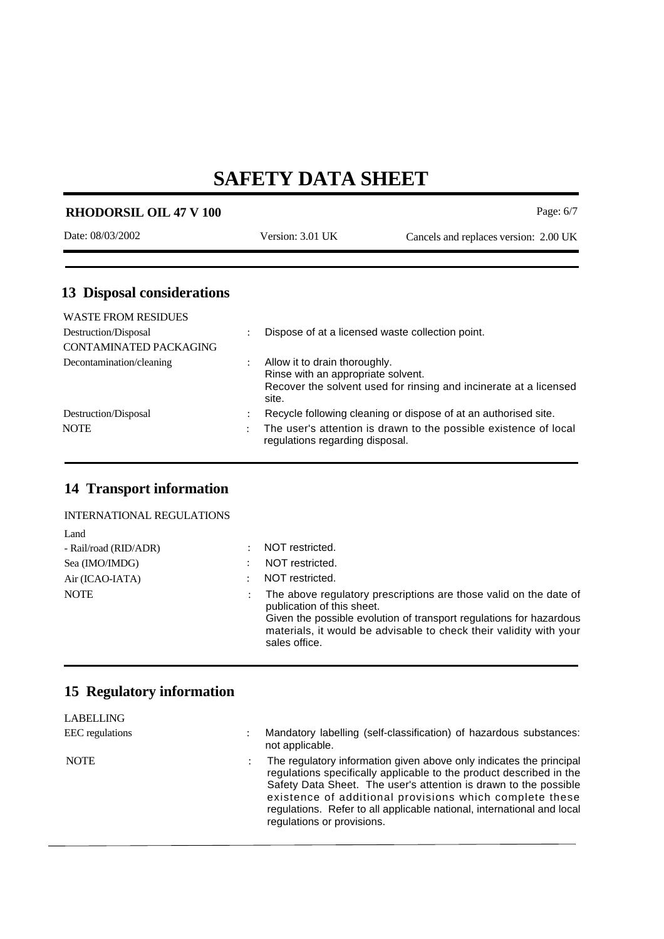| Page: $6/7$<br><b>RHODORSIL OIL 47 V 100</b> |                      |                                                                     |                                       |  |  |
|----------------------------------------------|----------------------|---------------------------------------------------------------------|---------------------------------------|--|--|
| Date: 08/03/2002                             |                      | Version: 3.01 UK                                                    | Cancels and replaces version: 2.00 UK |  |  |
| <b>13 Disposal considerations</b>            |                      |                                                                     |                                       |  |  |
| <b>WASTE FROM RESIDUES</b>                   |                      |                                                                     |                                       |  |  |
| Destruction/Disposal                         |                      | Dispose of at a licensed waste collection point.                    |                                       |  |  |
| CONTAMINATED PACKAGING                       |                      |                                                                     |                                       |  |  |
| Decontamination/cleaning                     | $\ddot{\phantom{0}}$ | Allow it to drain thoroughly.<br>Rinse with an appropriate solvent. |                                       |  |  |

|                      | site.                                                                                               |
|----------------------|-----------------------------------------------------------------------------------------------------|
| Destruction/Disposal | Recycle following cleaning or dispose of at an authorised site.                                     |
| <b>NOTE</b>          | The user's attention is drawn to the possible existence of local<br>regulations regarding disposal. |

Recover the solvent used for rinsing and incinerate at a licensed

#### **14 Transport information**

| Land                  |                                                                                                                                                                                                                                              |
|-----------------------|----------------------------------------------------------------------------------------------------------------------------------------------------------------------------------------------------------------------------------------------|
| - Rail/road (RID/ADR) | NOT restricted.                                                                                                                                                                                                                              |
| Sea (IMO/IMDG)        | NOT restricted.                                                                                                                                                                                                                              |
| Air (ICAO-IATA)       | NOT restricted.                                                                                                                                                                                                                              |
| <b>NOTE</b>           | The above regulatory prescriptions are those valid on the date of<br>publication of this sheet.<br>Given the possible evolution of transport regulations for hazardous<br>materials, it would be advisable to check their validity with your |

sales office.

#### **15 Regulatory information**

| <b>LABELLING</b> |                                                                                                                                                                                                                                                                                                                                                                                   |
|------------------|-----------------------------------------------------------------------------------------------------------------------------------------------------------------------------------------------------------------------------------------------------------------------------------------------------------------------------------------------------------------------------------|
| EEC regulations  | Mandatory labelling (self-classification) of hazardous substances:<br>not applicable.                                                                                                                                                                                                                                                                                             |
| <b>NOTE</b>      | The regulatory information given above only indicates the principal<br>regulations specifically applicable to the product described in the<br>Safety Data Sheet. The user's attention is drawn to the possible<br>existence of additional provisions which complete these<br>regulations. Refer to all applicable national, international and local<br>regulations or provisions. |